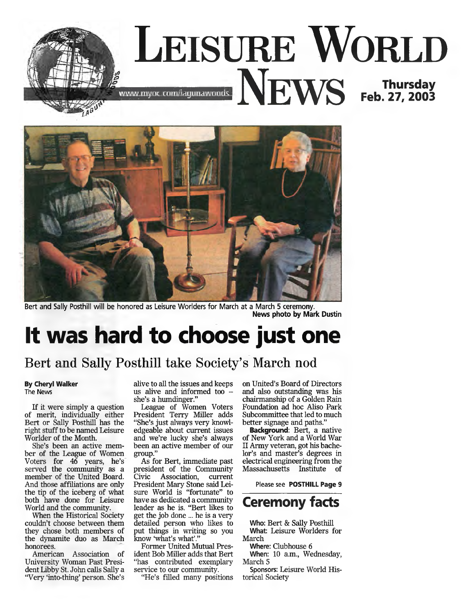



Bert and Sally Posthill will be honored as Leisure Worlders for March at a March 5 ceremony. **News photo by Mark Dustin**

# **It was hard to choose just one**

### Bert and Sally Posthill take Society's March nod

#### **By Cheryl Walker** The News

If it were simply a question of merit, individually either Bert or Sally Posthill has the right stuff to be named Leisure Worlder of the Month.

She's been an active member of the League of Women Voters for 46 years, he's served the community as a member of the United Board. And those affiliations are only the tip of the iceberg of what both have done for Leisure World and the community.

When the Historical Society couldn't choose between them they chose both members of the dynamite duo as March honorees.

American Association of University Woman Past President Libby St. John calls Sally a "Very 'into-thing' person. She's alive to all the issues and keeps us alive and informed too she's a humdinger."

League of Women Voters President Terry Miller adds "She's just always very knowledgeable about current issues and we're lucky she's always been an active member of our group."

As for Bert, immediate past president of the Community<br>Civic Association, current Association, current President Mary Stone said Leisure World is "fortunate" to have as dedicated a community leader as he is. "Bert likes to get the job done ... he is a very detailed person who likes to put things in writing so you know 'what's what'."

Former United Mutual President Bob Miller adds that Bert "has contributed exemplary service to our community.

"He's filled many positions

on United's Board of Directors and also outstanding was his chairmanship of a Golden Rain Foundation ad hoc Aliso Park Subcommittee that led to much better signage and paths."

**Background:** Bert, a native of New York and a World War II Army veteran, got his bachelor's and master's degrees in electrical engineering from the Massachusetts Institute of

Please see **POSTHILL Page 9**



Who: Bert & Sally Posthill What: Leisure Worlders for

March Where: Clubhouse 6

When: 10 a.m., Wednesday, March 5

Sponsors: Leisure World Historical Society